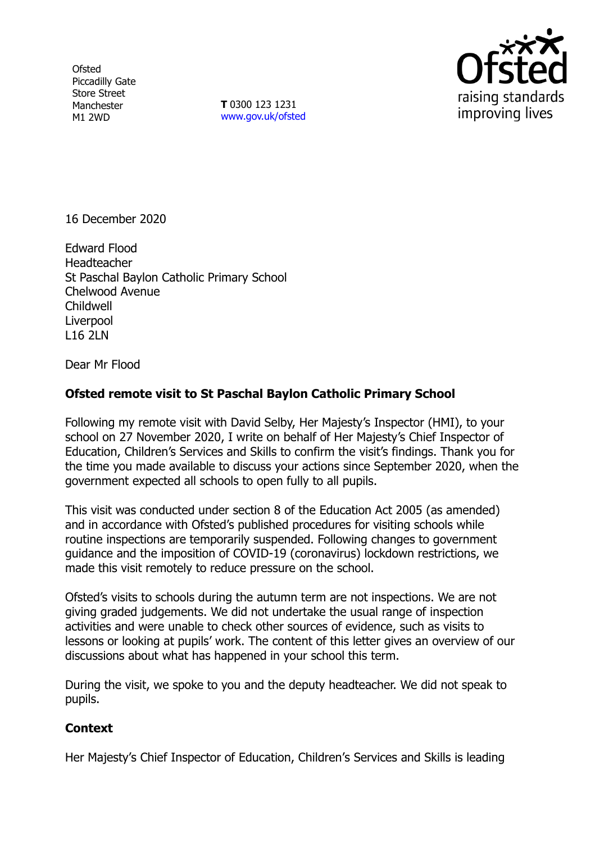**Ofsted** Piccadilly Gate Store Street Manchester M1 2WD

**T** 0300 123 1231 [www.gov.uk/ofsted](http://www.gov.uk/ofsted)



16 December 2020

Edward Flood Headteacher St Paschal Baylon Catholic Primary School Chelwood Avenue Childwell Liverpool L16 2LN

Dear Mr Flood

## **Ofsted remote visit to St Paschal Baylon Catholic Primary School**

Following my remote visit with David Selby, Her Majesty's Inspector (HMI), to your school on 27 November 2020, I write on behalf of Her Majesty's Chief Inspector of Education, Children's Services and Skills to confirm the visit's findings. Thank you for the time you made available to discuss your actions since September 2020, when the government expected all schools to open fully to all pupils.

This visit was conducted under section 8 of the Education Act 2005 (as amended) and in accordance with Ofsted's published procedures for visiting schools while routine inspections are temporarily suspended. Following changes to government guidance and the imposition of COVID-19 (coronavirus) lockdown restrictions, we made this visit remotely to reduce pressure on the school.

Ofsted's visits to schools during the autumn term are not inspections. We are not giving graded judgements. We did not undertake the usual range of inspection activities and were unable to check other sources of evidence, such as visits to lessons or looking at pupils' work. The content of this letter gives an overview of our discussions about what has happened in your school this term.

During the visit, we spoke to you and the deputy headteacher. We did not speak to pupils.

## **Context**

Her Majesty's Chief Inspector of Education, Children's Services and Skills is leading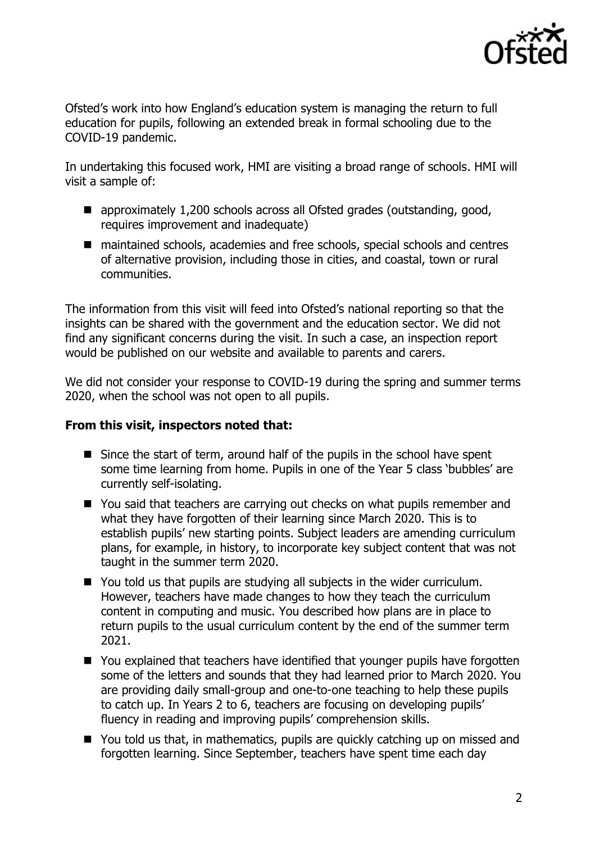

Ofsted's work into how England's education system is managing the return to full education for pupils, following an extended break in formal schooling due to the COVID-19 pandemic.

In undertaking this focused work, HMI are visiting a broad range of schools. HMI will visit a sample of:

- approximately 1,200 schools across all Ofsted grades (outstanding, good, requires improvement and inadequate)
- maintained schools, academies and free schools, special schools and centres of alternative provision, including those in cities, and coastal, town or rural communities.

The information from this visit will feed into Ofsted's national reporting so that the insights can be shared with the government and the education sector. We did not find any significant concerns during the visit. In such a case, an inspection report would be published on our website and available to parents and carers.

We did not consider your response to COVID-19 during the spring and summer terms 2020, when the school was not open to all pupils.

## **From this visit, inspectors noted that:**

- Since the start of term, around half of the pupils in the school have spent some time learning from home. Pupils in one of the Year 5 class 'bubbles' are currently self-isolating.
- You said that teachers are carrying out checks on what pupils remember and what they have forgotten of their learning since March 2020. This is to establish pupils' new starting points. Subject leaders are amending curriculum plans, for example, in history, to incorporate key subject content that was not taught in the summer term 2020.
- You told us that pupils are studying all subjects in the wider curriculum. However, teachers have made changes to how they teach the curriculum content in computing and music. You described how plans are in place to return pupils to the usual curriculum content by the end of the summer term 2021.
- You explained that teachers have identified that younger pupils have forgotten some of the letters and sounds that they had learned prior to March 2020. You are providing daily small-group and one-to-one teaching to help these pupils to catch up. In Years 2 to 6, teachers are focusing on developing pupils' fluency in reading and improving pupils' comprehension skills.
- You told us that, in mathematics, pupils are quickly catching up on missed and forgotten learning. Since September, teachers have spent time each day